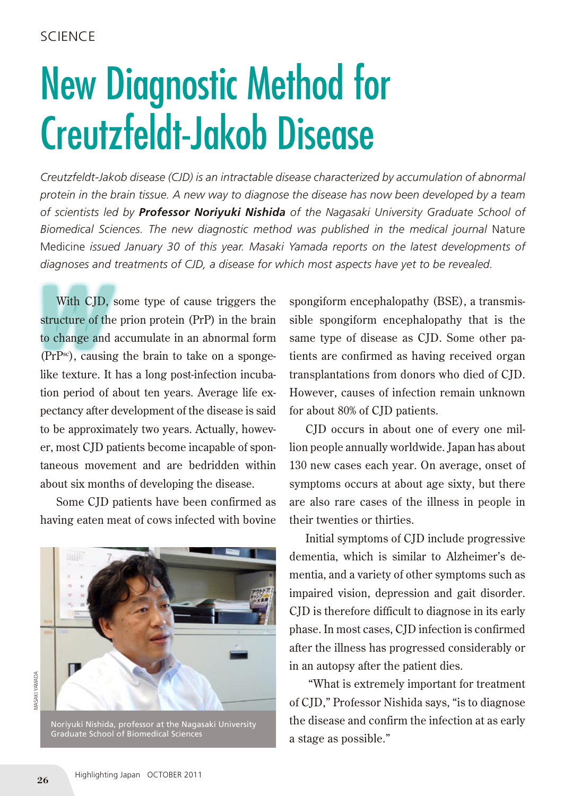## New Diagnostic Method for Creutzfeldt-Jakob Disease

*Creutzfeldt-Jakob disease (CJD) is an intractable disease characterized by accumulation of abnormal protein in the brain tissue. A new way to diagnose the disease has now been developed by a team of scientists led by Professor Noriyuki Nishida of the Nagasaki University Graduate School of Biomedical Sciences. The new diagnostic method was published in the medical journal* Nature Medicine *issued January 30 of this year. Masaki Yamada reports on the latest developments of diagnoses and treatments of CJD, a disease for which most aspects have yet to be revealed.*

With CJD, s<br>structure of the<br>to change and With CJD, some type of cause triggers the structure of the prion protein (PrP) in the brain to change and accumulate in an abnormal form (PrPsc), causing the brain to take on a spongelike texture. It has a long post-infection incubation period of about ten years. Average life expectancy after development of the disease is said to be approximately two years. Actually, however, most CJD patients become incapable of spontaneous movement and are bedridden within about six months of developing the disease.

Some CJD patients have been confirmed as having eaten meat of cows infected with bovine



Noriyuki Nishida, professor at the Nagasaki University Graduate School of Biomedical Sciences

spongiform encephalopathy (BSE), a transmissible spongiform encephalopathy that is the same type of disease as CJD. Some other patients are confirmed as having received organ transplantations from donors who died of CJD. However, causes of infection remain unknown for about 80% of CJD patients.

CJD occurs in about one of every one million people annually worldwide. Japan has about 130 new cases each year. On average, onset of symptoms occurs at about age sixty, but there are also rare cases of the illness in people in their twenties or thirties.

Initial symptoms of CJD include progressive dementia, which is similar to Alzheimer's dementia, and a variety of other symptoms such as impaired vision, depression and gait disorder. CJD is therefore difficult to diagnose in its early phase. In most cases, CJD infection is confirmed after the illness has progressed considerably or in an autopsy after the patient dies.

 "What is extremely important for treatment of CJD," Professor Nishida says, "is to diagnose the disease and confirm the infection at as early a stage as possible."

MASAKI YAMADA

**VIASAKI YAMADA**